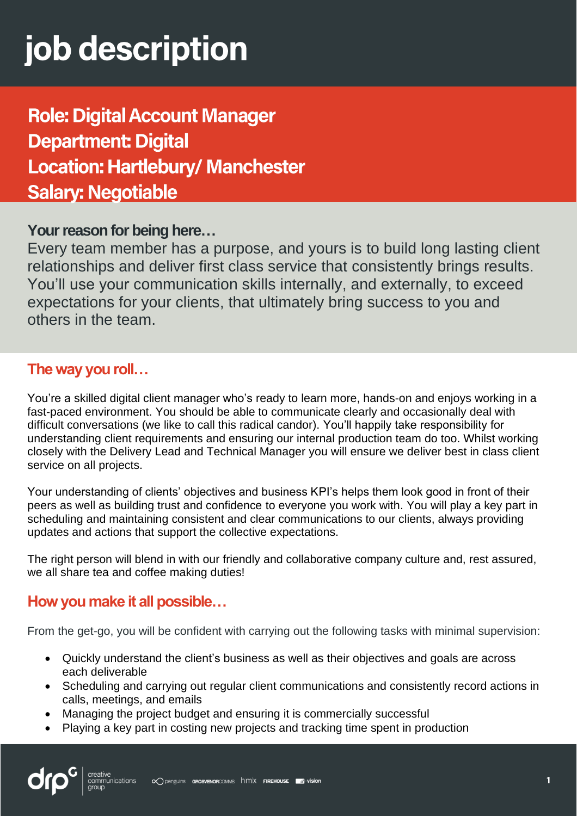# job description

# **Role: Digital Account Manager Department: Digital Location: Hartlebury/ Manchester Salary: Negotiable**

### **Your reason for being here…**

Every team member has a purpose, and yours is to build long lasting client relationships and deliver first class service that consistently brings results. You'll use your communication skills internally, and externally, to exceed expectations for your clients, that ultimately bring success to you and others in the team.

### **The way you roll…**

You're a skilled digital client manager who's ready to learn more, hands-on and enjoys working in a fast-paced environment. You should be able to communicate clearly and occasionally deal with difficult conversations (we like to call this radical candor). You'll happily take responsibility for understanding client requirements and ensuring our internal production team do too. Whilst working closely with the Delivery Lead and Technical Manager you will ensure we deliver best in class client service on all projects.

Your understanding of clients' objectives and business KPI's helps them look good in front of their peers as well as building trust and confidence to everyone you work with. You will play a key part in scheduling and maintaining consistent and clear communications to our clients, always providing updates and actions that support the collective expectations.

The right person will blend in with our friendly and collaborative company culture and, rest assured, we all share tea and coffee making duties!

## **How you make it all possible…**

From the get-go, you will be confident with carrying out the following tasks with minimal supervision:

- Quickly understand the client's business as well as their objectives and goals are across each deliverable
- Scheduling and carrying out regular client communications and consistently record actions in calls, meetings, and emails
- Managing the project budget and ensuring it is commercially successful
- Playing a key part in costing new projects and tracking time spent in production

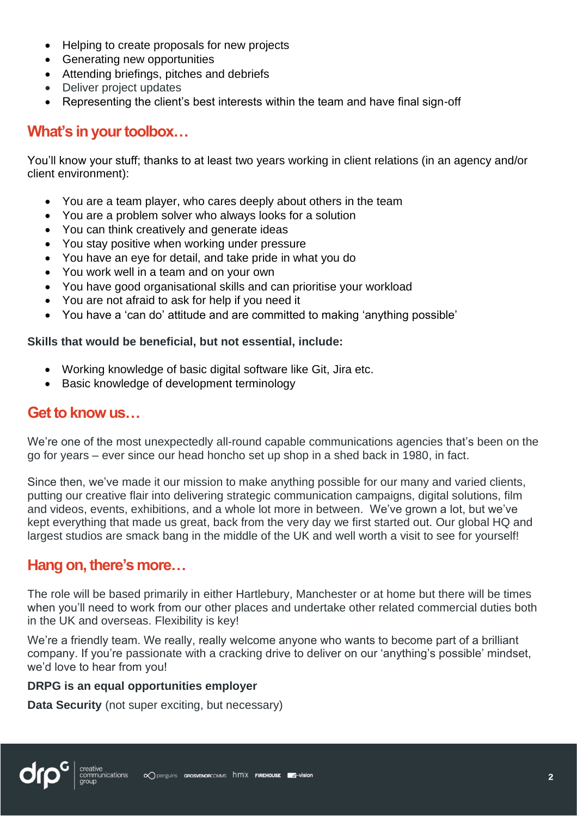- Helping to create proposals for new projects
- Generating new opportunities
- Attending briefings, pitches and debriefs
- Deliver project updates
- Representing the client's best interests within the team and have final sign-off

### **What's in your toolbox…**

You'll know your stuff; thanks to at least two years working in client relations (in an agency and/or client environment):

- You are a team player, who cares deeply about others in the team
- You are a problem solver who always looks for a solution
- You can think creatively and generate ideas
- You stay positive when working under pressure
- You have an eye for detail, and take pride in what you do
- You work well in a team and on your own
- You have good organisational skills and can prioritise your workload
- You are not afraid to ask for help if you need it
- You have a 'can do' attitude and are committed to making 'anything possible'

#### **Skills that would be beneficial, but not essential, include:**

- Working knowledge of basic digital software like Git, Jira etc.
- Basic knowledge of development terminology

#### **Get to know us…**

We're one of the most unexpectedly all-round capable communications agencies that's been on the go for years – ever since our head honcho set up shop in a shed back in 1980, in fact.

Since then, we've made it our mission to make anything possible for our many and varied clients, putting our creative flair into delivering strategic communication campaigns, digital solutions, film and videos, events, exhibitions, and a whole lot more in between. We've grown a lot, but we've kept everything that made us great, back from the very day we first started out. Our global HQ and largest studios are smack bang in the middle of the UK and well worth a visit to see for yourself!

#### **Hang on, there's more…**

The role will be based primarily in either Hartlebury, Manchester or at home but there will be times when you'll need to work from our other places and undertake other related commercial duties both in the UK and overseas. Flexibility is key!

We're a friendly team. We really, really welcome anyone who wants to become part of a brilliant company. If you're passionate with a cracking drive to deliver on our 'anything's possible' mindset, we'd love to hear from you!

#### **DRPG is an equal opportunities employer**

**Data Security** (not super exciting, but necessary)